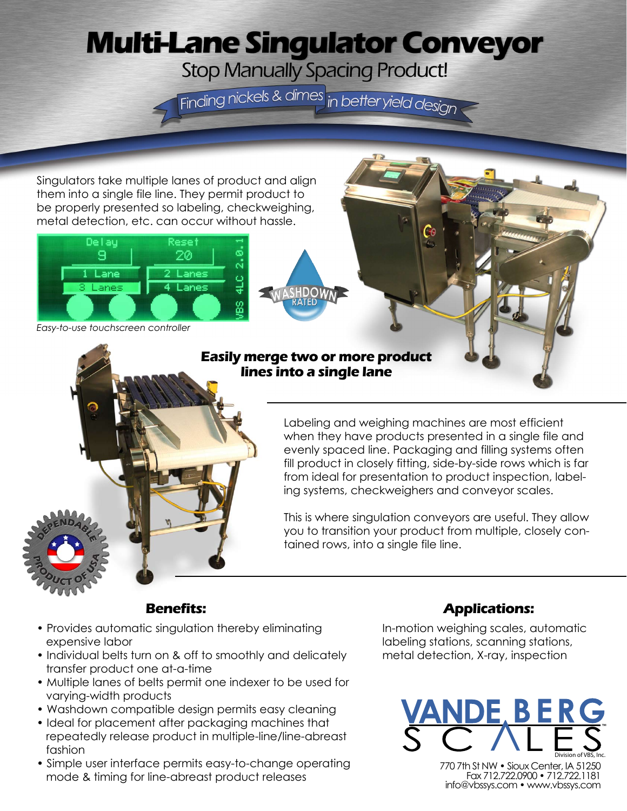# **Multi-Lane Singulator Conveyor Stop Manually Spacing Product!**

Finding nickels & dimes in better yield design

Singulators take multiple lanes of product and align them into a single file line. They permit product to be properly presented so labeling, checkweighing, metal detection, etc. can occur without hassle.



*Easy-to-use touchscreen controller*

#### **Easily merge two or [more product](http://vbssys.com/multi-lane-singulators/)  lines into a single lane**

Labeling and weighing machines are most efficient when they have products presented in a single file and evenly spaced line. Packaging and filling systems often fill product in closely fitting, side-by-side rows which is far from ideal for presentation to product inspection, labeling systems, checkweighers and conveyor scales.

This is where singulation conveyors are useful. They allow you to transition your product from multiple, closely contained rows, into a single file line.

### **Benefits:**

- Provides automatic singulation thereby eliminating expensive labor
- Individual belts turn on & off to smoothly and delicately transfer product one at-a-time
- Multiple lanes of belts permit one indexer to be used for varying-width products
- Washdown compatible design permits easy cleaning
- Ideal for placement after packaging machines that repeatedly release product in multiple-line/line-abreast fashion
- Simple user interface permits easy-to-change operating mode & timing for line-abreast product releases

## **Applications:**

In-motion weighing scales, automatic labeling stations, scanning stations, metal detection, X-ray, inspection



770 7th St NW • Sioux Center, IA 51250 Fax 712.722.0900 • 712.722.1181 info@vbssys.com • www.vbssys.com